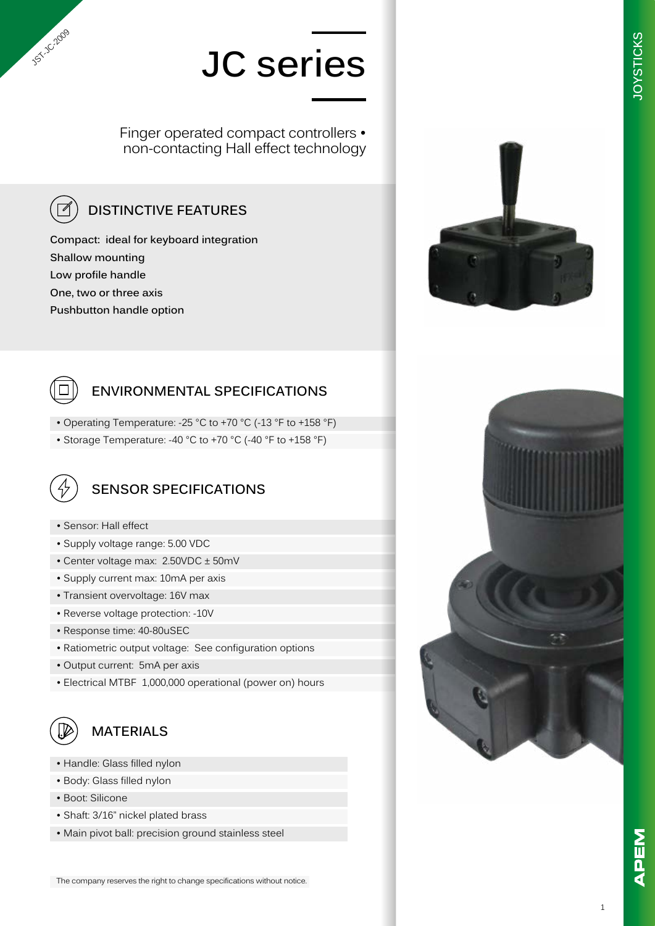Finger operated compact controllers • non-contacting Hall effect technology

### **DISTINCTIVE FEATURES**

**Compact: ideal for keyboard integration Shallow mounting Low profile handle One, two or three axis Pushbutton handle option**



**JST-JC-2009** 

#### **ENVIRONMENTAL SPECIFICATIONS**

- Operating Temperature: -25 °C to +70 °C (-13 °F to +158 °F)
- Storage Temperature: -40 °C to +70 °C (-40 °F to +158 °F)



### **SENSOR SPECIFICATIONS**

- Sensor: Hall effect
- Supply voltage range: 5.00 VDC
- Center voltage max: 2.50VDC ± 50mV
- Supply current max: 10mA per axis
- Transient overvoltage: 16V max
- Reverse voltage protection: -10V
- Response time: 40-80uSEC
- Ratiometric output voltage: See configuration options
- Output current: 5mA per axis
- Electrical MTBF 1,000,000 operational (power on) hours



#### **MATERIALS**

- Handle: Glass filled nylon
- Body: Glass filled nylon
- Boot: Silicone
- Shaft: 3/16" nickel plated brass
- Main pivot ball: precision ground stainless steel



**JOYSTICKS**

**JOYSTICKS** 



The company reserves the right to change specifications without notice.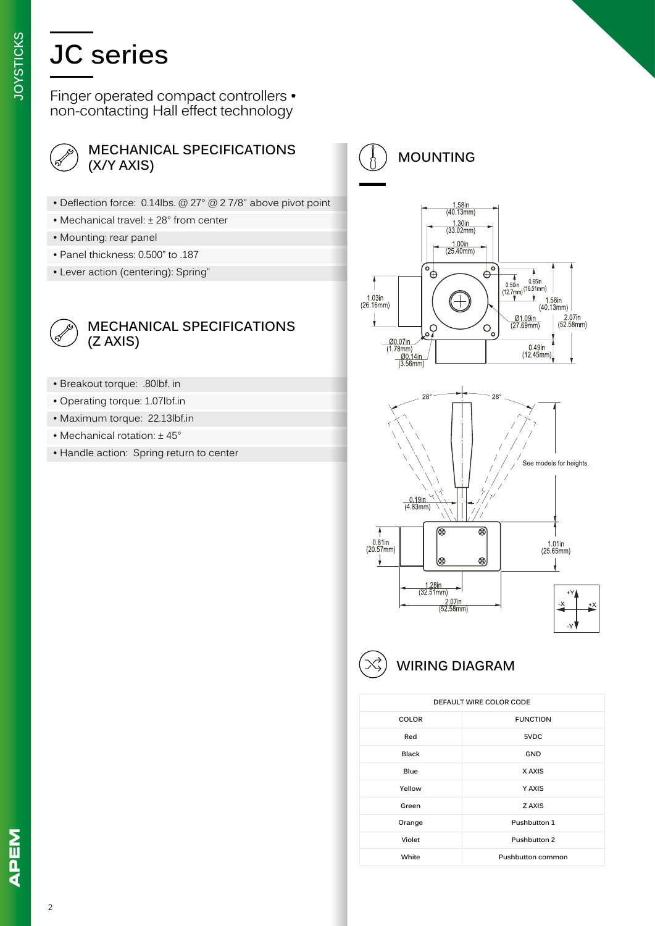Finger operated compact controllers • non-contacting Hall effect technology



#### **MECHANICAL SPECIFICATIONS (X/Y AXIS)**

- Deflection force: 0.14lbs. @ 27° @ 2 7/8" above pivot point
- Mechanical travel: ± 28° from center
- Mounting: rear panel
- Panel thickness: 0.500" to .187
- Lever action (centering): Spring"



#### **MECHANICAL SPECIFICATIONS (Z AXIS)**

- Breakout torque: .80lbf. in
- Operating torque: 1.07lbf.in
- Maximum torque: 22.13lbf.in
- Mechanical rotation: ± 45°
- Handle action: Spring return to center



**MOUNTING**



#### **WIRING DIAGRAM**

| DEFAULT WIRE COLOR CODE |                   |
|-------------------------|-------------------|
| <b>COLOR</b>            | <b>FUNCTION</b>   |
| Red                     | 5VDC              |
| <b>Black</b>            | GND               |
| <b>Blue</b>             | X AXIS            |
| Yellow                  | Y AXIS            |
| Green                   | Z AXIS            |
| Orange                  | Pushbutton 1      |
| Violet                  | Pushbutton 2      |
| White                   | Pushbutton common |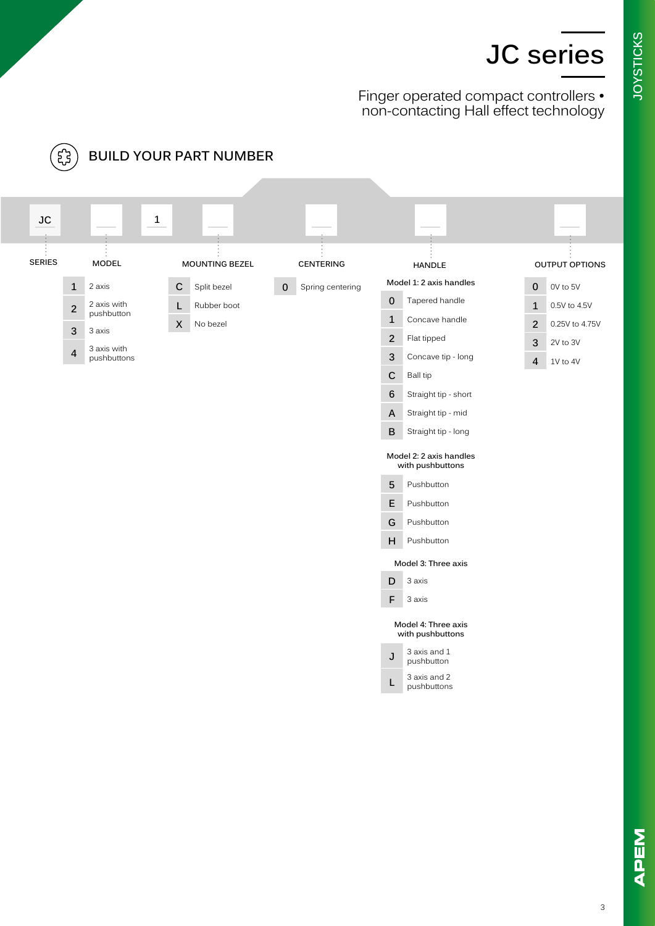Finger operated compact controllers • non-contacting Hall effect technology

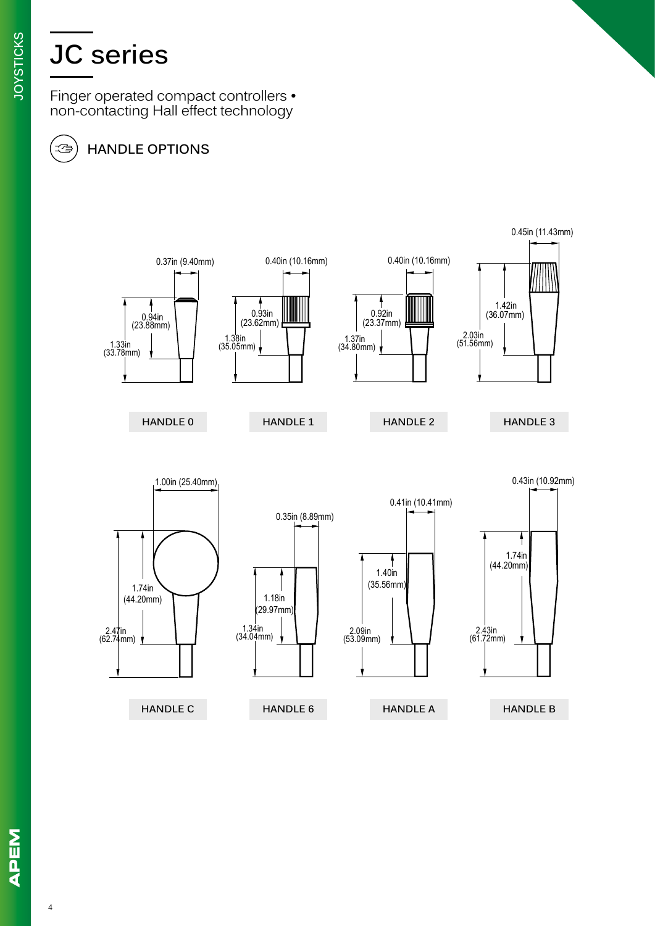Finger operated compact controllers • non-contacting Hall effect technology

### **HANDLE OPTIONS**



地